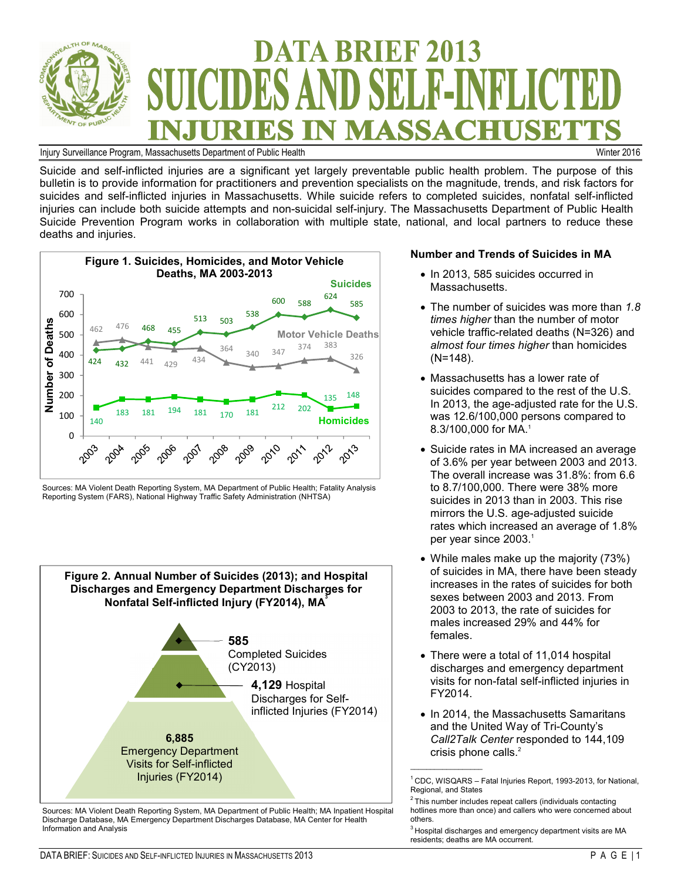

Injury Surveillance Program, Massachusetts Department of Public Health Winter 2016

Suicide and self-inflicted injuries are a significant yet largely preventable public health problem. The purpose of this bulletin is to provide information for practitioners and prevention specialists on the magnitude, trends, and risk factors for suicides and self-inflicted injuries in Massachusetts. While suicide refers to completed suicides, nonfatal self-inflicted injuries can include both suicide attempts and non-suicidal self-injury. The Massachusetts Department of Public Health Suicide Prevention Program works in collaboration with multiple state, national, and local partners to reduce these deaths and injuries.



Sources: MA Violent Death Reporting System, MA Department of Public Health; Fatality Analysis Reporting System (FARS), National Highway Traffic Safety Administration (NHTSA)



Sources: MA Violent Death Reporting System, MA Department of Public Health; MA Inpatient Hospital Discharge Database, MA Emergency Department Discharges Database, MA Center for Health Information and Analysis

#### **Number and Trends of Suicides in MA**

- In 2013, 585 suicides occurred in Massachusetts.
- The number of suicides was more than *1.8 times higher* than the number of motor vehicle traffic-related deaths (N=326) and *almost four times higher* than homicides (N=148).
- Massachusetts has a lower rate of suicides compared to the rest of the U.S. In 2013, the age-adjusted rate for the U.S. was 12.6/100,000 persons compared to 8.3/100,000 for MA.<sup>1</sup>
- Suicide rates in MA increased an average of 3.6% per year between 2003 and 2013. The overall increase was 31.8%: from 6.6 to 8.7/100,000. There were 38% more suicides in 2013 than in 2003. This rise mirrors the U.S. age-adjusted suicide rates which increased an average of 1.8% per year since 2003.<sup>1</sup>
- While males make up the majority (73%) of suicides in MA, there have been steady increases in the rates of suicides for both sexes between 2003 and 2013. From 2003 to 2013, the rate of suicides for males increased 29% and 44% for females.
- There were a total of 11,014 hospital discharges and emergency department visits for non-fatal self-inflicted injuries in FY2014.
- In 2014, the Massachusetts Samaritans and the United Way of Tri-County's *Call2Talk Center* responded to 144,109 crisis phone calls.<sup>2</sup>

\_\_\_\_\_\_\_\_\_\_\_\_\_\_\_\_\_\_

<sup>&</sup>lt;sup>1</sup> CDC, WISQARS – Fatal Injuries Report, 1993-2013, for National, Regional, and States

 $2$ This number includes repeat callers (individuals contacting hotlines more than once) and callers who were concerned about others.

 $3$  Hospital discharges and emergency department visits are MA residents; deaths are MA occurrent.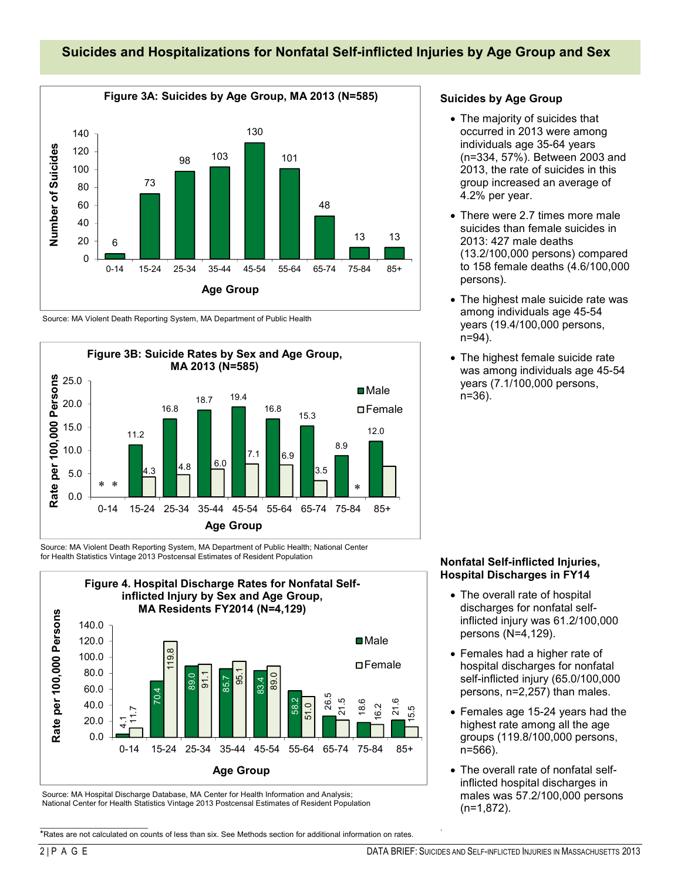## **Suicides and Hospitalizations for Nonfatal Self-inflicted Injuries by Age Group and Sex**



Source: MA Violent Death Reporting System, MA Department of Public Health



Source: MA Violent Death Reporting System, MA Department of Public Health; National Center for Health Statistics Vintage 2013 Postcensal Estimates of Resident Population



Source: MA Hospital Discharge Database, MA Center for Health Information and Analysis; National Center for Health Statistics Vintage 2013 Postcensal Estimates of Resident Population

\*Rates are not calculated on counts of less than six. See Methods section for additional information on rates.

#### **Suicides by Age Group**

- The majority of suicides that occurred in 2013 were among individuals age 35-64 years (n=334, 57%). Between 2003 and 2013, the rate of suicides in this group increased an average of 4.2% per year.
- There were 2.7 times more male suicides than female suicides in 2013: 427 male deaths (13.2/100,000 persons) compared to 158 female deaths (4.6/100,000 persons).
- The highest male suicide rate was among individuals age 45-54 years (19.4/100,000 persons, n=94).
- The highest female suicide rate was among individuals age 45-54 years (7.1/100,000 persons, n=36).

#### **Nonfatal Self-inflicted Injuries, Hospital Discharges in FY14**

- The overall rate of hospital discharges for nonfatal selfinflicted injury was 61.2/100,000 persons (N=4,129).
- Females had a higher rate of hospital discharges for nonfatal self-inflicted injury (65.0/100,000 persons, n=2,257) than males.
- Females age 15-24 years had the highest rate among all the age groups (119.8/100,000 persons, n=566).
- The overall rate of nonfatal selfinflicted hospital discharges in males was 57.2/100,000 persons (n=1,872).

\_\_\_\_\_\_\_\_\_\_\_\_\_\_\_\_\_\_\_\_\_\_\_\_\_

.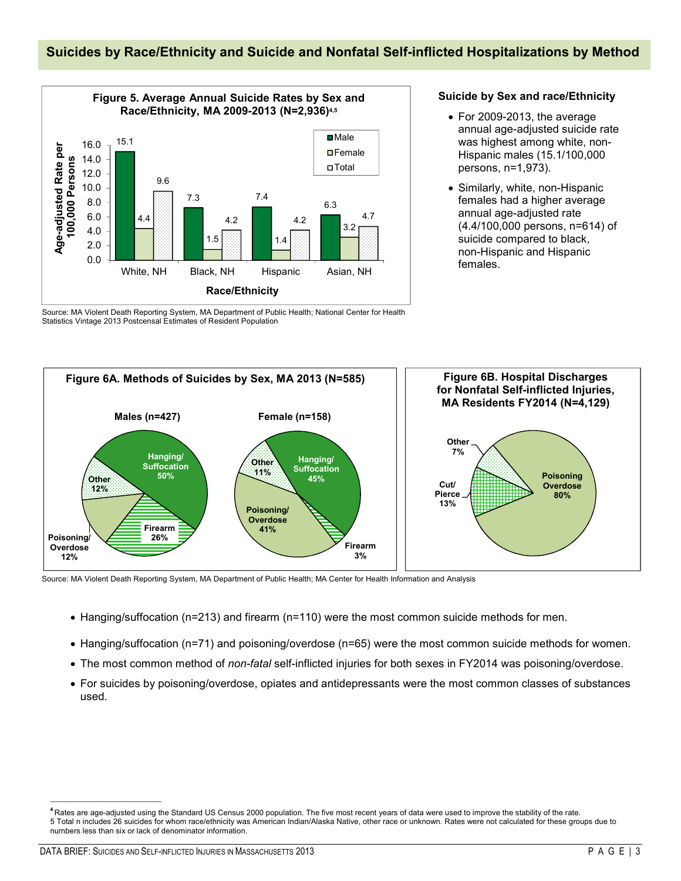## **Suicides by Race/Ethnicity and Suicide and Nonfatal Self-inflicted Hospitalizations by Method**



**Suicide by Sex and race/Ethnicity**

- For 2009-2013, the average annual age-adjusted suicide rate was highest among white, non-Hispanic males (15.1/100,000 persons, n=1,973).
- Similarly, white, non-Hispanic females had a higher average annual age-adjusted rate (4.4/100,000 persons, n=614) of suicide compared to black, non-Hispanic and Hispanic females.

Source: MA Violent Death Reporting System, MA Department of Public Health; National Center for Health Statistics Vintage 2013 Postcensal Estimates of Resident Population



Source: MA Violent Death Reporting System, MA Department of Public Health; MA Center for Health Information and Analysis

- Hanging/suffocation (n=213) and firearm (n=110) were the most common suicide methods for men.
- Hanging/suffocation (n=71) and poisoning/overdose (n=65) were the most common suicide methods for women.
- The most common method of *non-fatal* self-inflicted injuries for both sexes in FY2014 was poisoning/overdose.
- For suicides by poisoning/overdose, opiates and antidepressants were the most common classes of substances used.

\_\_\_\_\_\_\_\_\_\_\_\_\_\_\_\_\_\_\_\_\_\_\_\_\_\_\_\_\_\_

**<sup>4</sup>**Rates are age-adjusted using the Standard US Census 2000 population. The five most recent years of data were used to improve the stability of the rate. 5 Total n includes 26 suicides for whom race/ethnicity was American Indian/Alaska Native, other race or unknown. Rates were not calculated for these groups due to numbers less than six or lack of denominator information.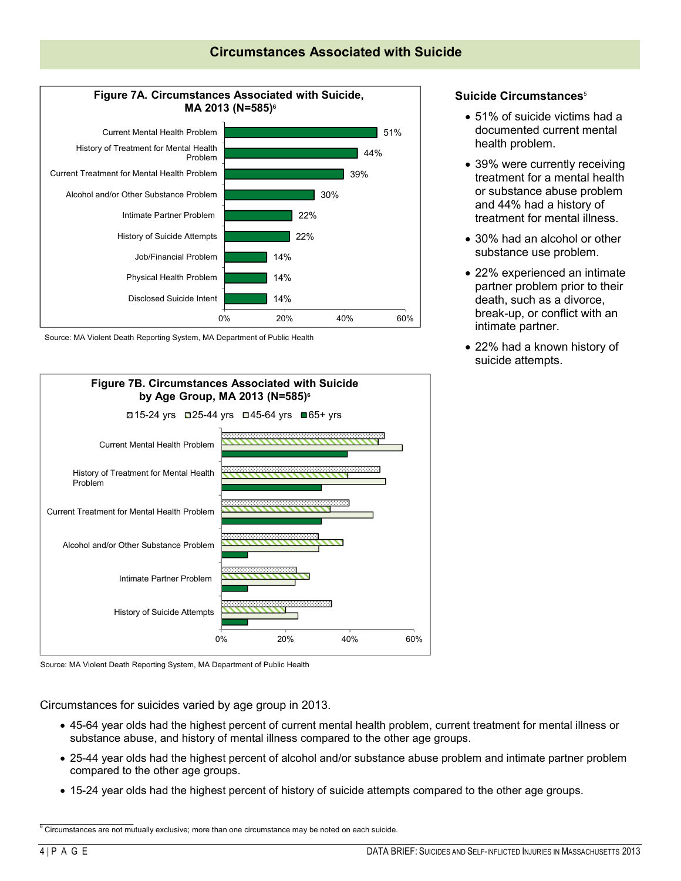#### **Circumstances Associated with Suicide**

#### 14% 14% 14% 22% 22% 30% 39% 44% 51% 0% 20% 40% 60% Disclosed Suicide Intent Physical Health Problem Job/Financial Problem History of Suicide Attempts Intimate Partner Problem Alcohol and/or Other Substance Problem Current Treatment for Mental Health Problem History of Treatment for Mental Health Problem Current Mental Health Problem **Figure 7A. Circumstances Associated with Suicide, MA 2013 (N=585)<sup>6</sup>**

Source: MA Violent Death Reporting System, MA Department of Public Health



#### Source: MA Violent Death Reporting System, MA Department of Public Health

Circumstances for suicides varied by age group in 2013.

- 45-64 year olds had the highest percent of current mental health problem, current treatment for mental illness or substance abuse, and history of mental illness compared to the other age groups.
- 25-44 year olds had the highest percent of alcohol and/or substance abuse problem and intimate partner problem compared to the other age groups.
- 15-24 year olds had the highest percent of history of suicide attempts compared to the other age groups.

#### **Suicide Circumstances**<sup>5</sup>

- 51% of suicide victims had a documented current mental health problem.
- 39% were currently receiving treatment for a mental health or substance abuse problem and 44% had a history of treatment for mental illness.
- 30% had an alcohol or other substance use problem.
- 22% experienced an intimate partner problem prior to their death, such as a divorce, break-up, or conflict with an intimate partner.
- 22% had a known history of suicide attempts.

 $\mathcal{L}$  , we have the set of  $\mathcal{L}$  $6$  Circumstances are not mutually exclusive; more than one circumstance may be noted on each suicide.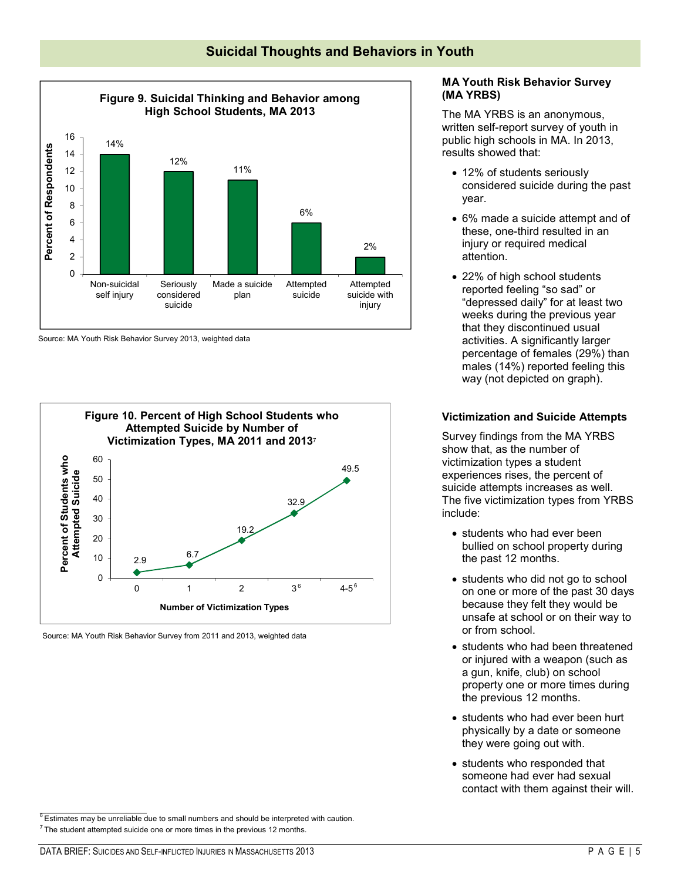

Source: MA Youth Risk Behavior Survey 2013, weighted data



Source: MA Youth Risk Behavior Survey from 2011 and 2013, weighted data

#### **MA Youth Risk Behavior Survey (MA YRBS)**

The MA YRBS is an anonymous, written self-report survey of youth in public high schools in MA. In 2013, results showed that:

- 12% of students seriously considered suicide during the past year.
- 6% made a suicide attempt and of these, one-third resulted in an injury or required medical attention.
- 22% of high school students reported feeling "so sad" or "depressed daily" for at least two weeks during the previous year that they discontinued usual activities. A significantly larger percentage of females (29%) than males (14%) reported feeling this way (not depicted on graph).

## **Victimization and Suicide Attempts**

Survey findings from the MA YRBS show that, as the number of victimization types a student experiences rises, the percent of suicide attempts increases as well. The five victimization types from YRBS include:

- students who had ever been bullied on school property during the past 12 months.
- students who did not go to school on one or more of the past 30 days because they felt they would be unsafe at school or on their way to or from school.
- students who had been threatened or injured with a weapon (such as a gun, knife, club) on school property one or more times during the previous 12 months.
- students who had ever been hurt physically by a date or someone they were going out with.
- students who responded that someone had ever had sexual contact with them against their will.

 $\frac{1}{2}$  ,  $\frac{1}{2}$  ,  $\frac{1}{2}$  ,  $\frac{1}{2}$  ,  $\frac{1}{2}$  ,  $\frac{1}{2}$  ,  $\frac{1}{2}$  $6$  Estimates may be unreliable due to small numbers and should be interpreted with caution.

 $<sup>7</sup>$  The student attempted suicide one or more times in the previous 12 months.</sup>